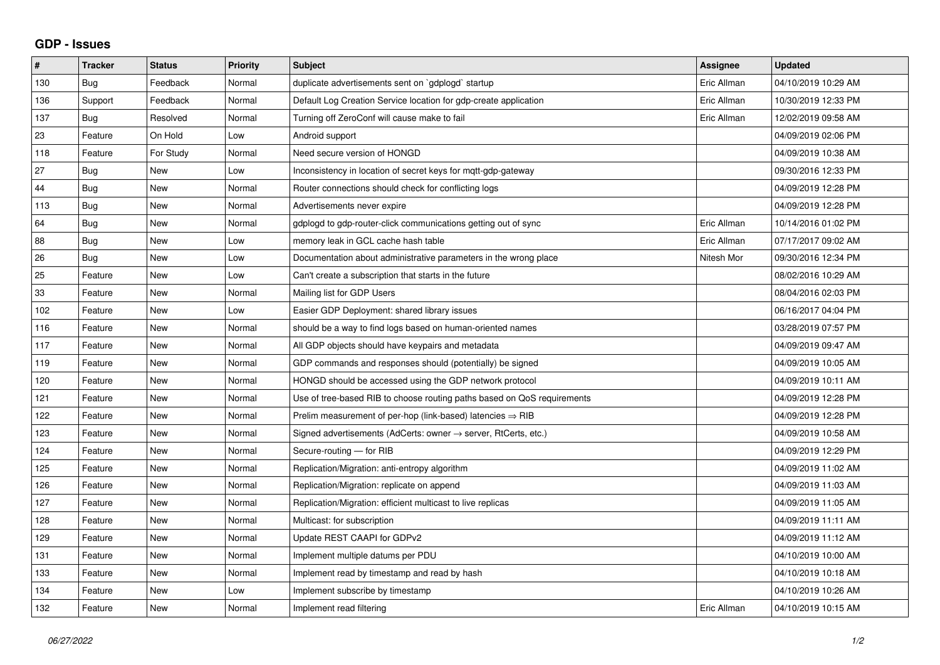## **GDP - Issues**

| #   | <b>Tracker</b> | <b>Status</b> | Priority | <b>Subject</b>                                                          | <b>Assignee</b> | <b>Updated</b>      |
|-----|----------------|---------------|----------|-------------------------------------------------------------------------|-----------------|---------------------|
| 130 | Bug            | Feedback      | Normal   | duplicate advertisements sent on `gdplogd` startup                      | Eric Allman     | 04/10/2019 10:29 AM |
| 136 | Support        | Feedback      | Normal   | Default Log Creation Service location for gdp-create application        | Eric Allman     | 10/30/2019 12:33 PM |
| 137 | Bug            | Resolved      | Normal   | Turning off ZeroConf will cause make to fail                            | Eric Allman     | 12/02/2019 09:58 AM |
| 23  | Feature        | On Hold       | Low      | Android support                                                         |                 | 04/09/2019 02:06 PM |
| 118 | Feature        | For Study     | Normal   | Need secure version of HONGD                                            |                 | 04/09/2019 10:38 AM |
| 27  | Bug            | New           | Low      | Inconsistency in location of secret keys for mqtt-gdp-gateway           |                 | 09/30/2016 12:33 PM |
| 44  | <b>Bug</b>     | New           | Normal   | Router connections should check for conflicting logs                    |                 | 04/09/2019 12:28 PM |
| 113 | Bug            | <b>New</b>    | Normal   | Advertisements never expire                                             |                 | 04/09/2019 12:28 PM |
| 64  | <b>Bug</b>     | New           | Normal   | gdplogd to gdp-router-click communications getting out of sync          | Eric Allman     | 10/14/2016 01:02 PM |
| 88  | <b>Bug</b>     | <b>New</b>    | Low      | memory leak in GCL cache hash table                                     | Eric Allman     | 07/17/2017 09:02 AM |
| 26  | Bug            | <b>New</b>    | Low      | Documentation about administrative parameters in the wrong place        | Nitesh Mor      | 09/30/2016 12:34 PM |
| 25  | Feature        | New           | Low      | Can't create a subscription that starts in the future                   |                 | 08/02/2016 10:29 AM |
| 33  | Feature        | <b>New</b>    | Normal   | Mailing list for GDP Users                                              |                 | 08/04/2016 02:03 PM |
| 102 | Feature        | <b>New</b>    | Low      | Easier GDP Deployment: shared library issues                            |                 | 06/16/2017 04:04 PM |
| 116 | Feature        | <b>New</b>    | Normal   | should be a way to find logs based on human-oriented names              |                 | 03/28/2019 07:57 PM |
| 117 | Feature        | <b>New</b>    | Normal   | All GDP objects should have keypairs and metadata                       |                 | 04/09/2019 09:47 AM |
| 119 | Feature        | New           | Normal   | GDP commands and responses should (potentially) be signed               |                 | 04/09/2019 10:05 AM |
| 120 | Feature        | New           | Normal   | HONGD should be accessed using the GDP network protocol                 |                 | 04/09/2019 10:11 AM |
| 121 | Feature        | <b>New</b>    | Normal   | Use of tree-based RIB to choose routing paths based on QoS requirements |                 | 04/09/2019 12:28 PM |
| 122 | Feature        | <b>New</b>    | Normal   | Prelim measurement of per-hop (link-based) latencies $\Rightarrow$ RIB  |                 | 04/09/2019 12:28 PM |
| 123 | Feature        | <b>New</b>    | Normal   | Signed advertisements (AdCerts: owner → server, RtCerts, etc.)          |                 | 04/09/2019 10:58 AM |
| 124 | Feature        | <b>New</b>    | Normal   | Secure-routing - for RIB                                                |                 | 04/09/2019 12:29 PM |
| 125 | Feature        | New           | Normal   | Replication/Migration: anti-entropy algorithm                           |                 | 04/09/2019 11:02 AM |
| 126 | Feature        | <b>New</b>    | Normal   | Replication/Migration: replicate on append                              |                 | 04/09/2019 11:03 AM |
| 127 | Feature        | <b>New</b>    | Normal   | Replication/Migration: efficient multicast to live replicas             |                 | 04/09/2019 11:05 AM |
| 128 | Feature        | New           | Normal   | Multicast: for subscription                                             |                 | 04/09/2019 11:11 AM |
| 129 | Feature        | <b>New</b>    | Normal   | Update REST CAAPI for GDPv2                                             |                 | 04/09/2019 11:12 AM |
| 131 | Feature        | <b>New</b>    | Normal   | Implement multiple datums per PDU                                       |                 | 04/10/2019 10:00 AM |
| 133 | Feature        | <b>New</b>    | Normal   | Implement read by timestamp and read by hash                            |                 | 04/10/2019 10:18 AM |
| 134 | Feature        | New           | Low      | Implement subscribe by timestamp                                        |                 | 04/10/2019 10:26 AM |
| 132 | Feature        | New           | Normal   | Implement read filtering                                                | Eric Allman     | 04/10/2019 10:15 AM |